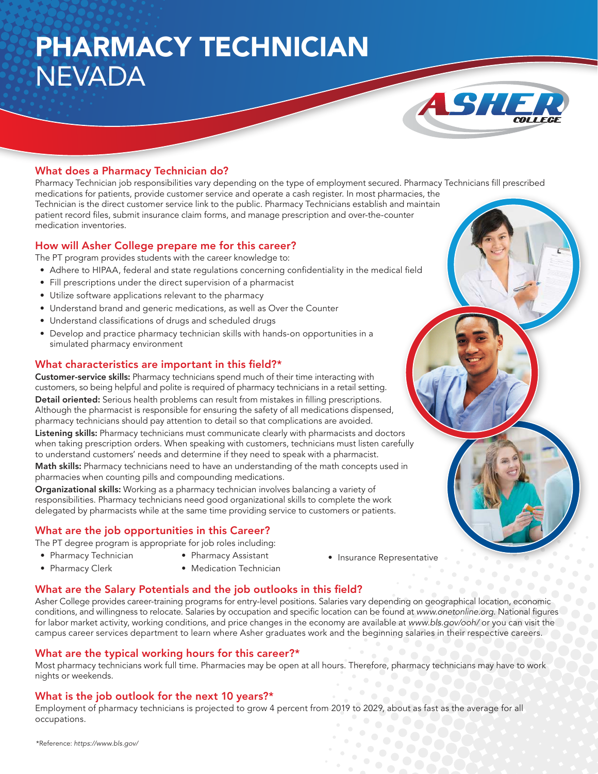## PHARMACY TECHNICIAN NEVADA



### What does a Pharmacy Technician do?

Pharmacy Technician job responsibilities vary depending on the type of employment secured. Pharmacy Technicians fill prescribed medications for patients, provide customer service and operate a cash register. In most pharmacies, the Technician is the direct customer service link to the public. Pharmacy Technicians establish and maintain patient record files, submit insurance claim forms, and manage prescription and over-the-counter medication inventories.

#### How will Asher College prepare me for this career?

The PT program provides students with the career knowledge to:

- Adhere to HIPAA, federal and state regulations concerning confidentiality in the medical field
- Fill prescriptions under the direct supervision of a pharmacist
- Utilize software applications relevant to the pharmacy
- Understand brand and generic medications, as well as Over the Counter
- Understand classifications of drugs and scheduled drugs
- Develop and practice pharmacy technician skills with hands-on opportunities in a simulated pharmacy environment

#### What characteristics are important in this field?\*

Customer-service skills: Pharmacy technicians spend much of their time interacting with customers, so being helpful and polite is required of pharmacy technicians in a retail setting. Detail oriented: Serious health problems can result from mistakes in filling prescriptions. Although the pharmacist is responsible for ensuring the safety of all medications dispensed, pharmacy technicians should pay attention to detail so that complications are avoided.

Listening skills: Pharmacy technicians must communicate clearly with pharmacists and doctors when taking prescription orders. When speaking with customers, technicians must listen carefully to understand customers' needs and determine if they need to speak with a pharmacist.

Math skills: Pharmacy technicians need to have an understanding of the math concepts used in pharmacies when counting pills and compounding medications.

Organizational skills: Working as a pharmacy technician involves balancing a variety of responsibilities. Pharmacy technicians need good organizational skills to complete the work delegated by pharmacists while at the same time providing service to customers or patients.

### What are the job opportunities in this Career?

The PT degree program is appropriate for job roles including:

- Pharmacy Technician
- Pharmacy Assistant
- Pharmacy Clerk
- Medication Technician
- Insurance Representative

### What are the Salary Potentials and the job outlooks in this field?

Asher College provides career-training programs for entry-level positions. Salaries vary depending on geographical location, economic conditions, and willingness to relocate. Salaries by occupation and specific location can be found at www.onetonline.org. National figures for labor market activity, working conditions, and price changes in the economy are available at www.bls.gov/ooh/ or you can visit the campus career services department to learn where Asher graduates work and the beginning salaries in their respective careers.

### What are the typical working hours for this career?\*

Most pharmacy technicians work full time. Pharmacies may be open at all hours. Therefore, pharmacy technicians may have to work nights or weekends.

### What is the job outlook for the next 10 years?\*

Employment of pharmacy technicians is projected to grow 4 percent from 2019 to 2029, about as fast as the average for all occupations.